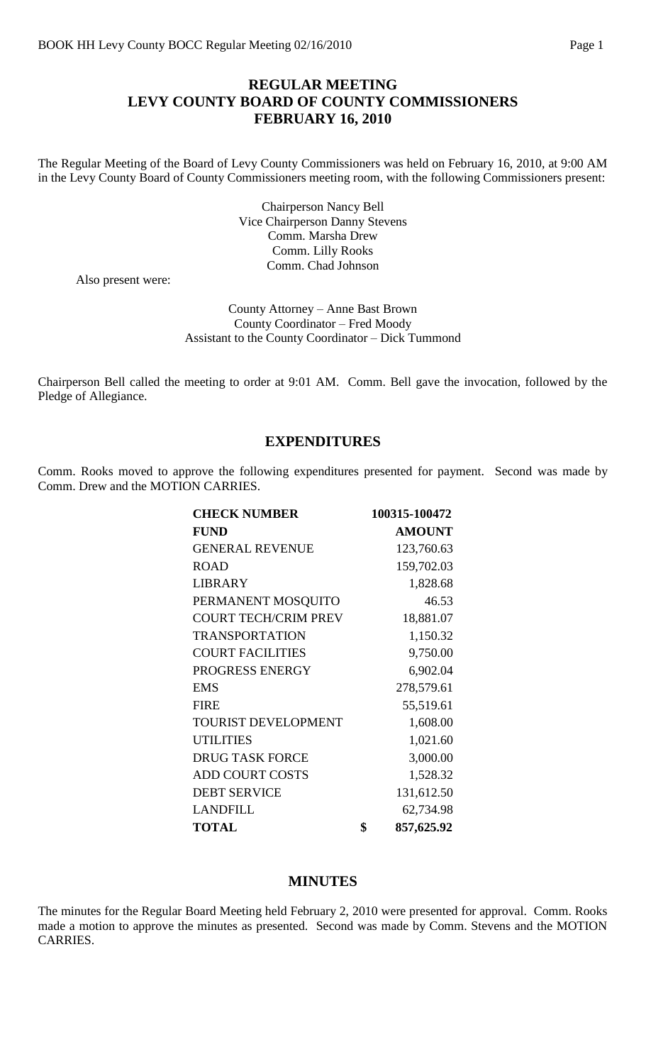# **REGULAR MEETING LEVY COUNTY BOARD OF COUNTY COMMISSIONERS FEBRUARY 16, 2010**

The Regular Meeting of the Board of Levy County Commissioners was held on February 16, 2010, at 9:00 AM in the Levy County Board of County Commissioners meeting room, with the following Commissioners present:

> Chairperson Nancy Bell Vice Chairperson Danny Stevens Comm. Marsha Drew Comm. Lilly Rooks Comm. Chad Johnson

Also present were:

County Attorney – Anne Bast Brown County Coordinator – Fred Moody Assistant to the County Coordinator – Dick Tummond

Chairperson Bell called the meeting to order at 9:01 AM. Comm. Bell gave the invocation, followed by the Pledge of Allegiance.

#### **EXPENDITURES**

Comm. Rooks moved to approve the following expenditures presented for payment. Second was made by Comm. Drew and the MOTION CARRIES.

| <b>CHECK NUMBER</b>         | 100315-100472    |
|-----------------------------|------------------|
| <b>FUND</b>                 | <b>AMOUNT</b>    |
| <b>GENERAL REVENUE</b>      | 123,760.63       |
| <b>ROAD</b>                 | 159,702.03       |
| <b>LIBRARY</b>              | 1,828.68         |
| PERMANENT MOSQUITO          | 46.53            |
| <b>COURT TECH/CRIM PREV</b> | 18,881.07        |
| <b>TRANSPORTATION</b>       | 1,150.32         |
| <b>COURT FACILITIES</b>     | 9,750.00         |
| PROGRESS ENERGY             | 6,902.04         |
| <b>EMS</b>                  | 278,579.61       |
| <b>FIRE</b>                 | 55,519.61        |
| <b>TOURIST DEVELOPMENT</b>  | 1,608.00         |
| <b>UTILITIES</b>            | 1,021.60         |
| <b>DRUG TASK FORCE</b>      | 3,000.00         |
| <b>ADD COURT COSTS</b>      | 1,528.32         |
| <b>DEBT SERVICE</b>         | 131,612.50       |
| <b>LANDFILL</b>             | 62,734.98        |
| <b>TOTAL</b>                | \$<br>857,625.92 |

### **MINUTES**

The minutes for the Regular Board Meeting held February 2, 2010 were presented for approval. Comm. Rooks made a motion to approve the minutes as presented. Second was made by Comm. Stevens and the MOTION CARRIES.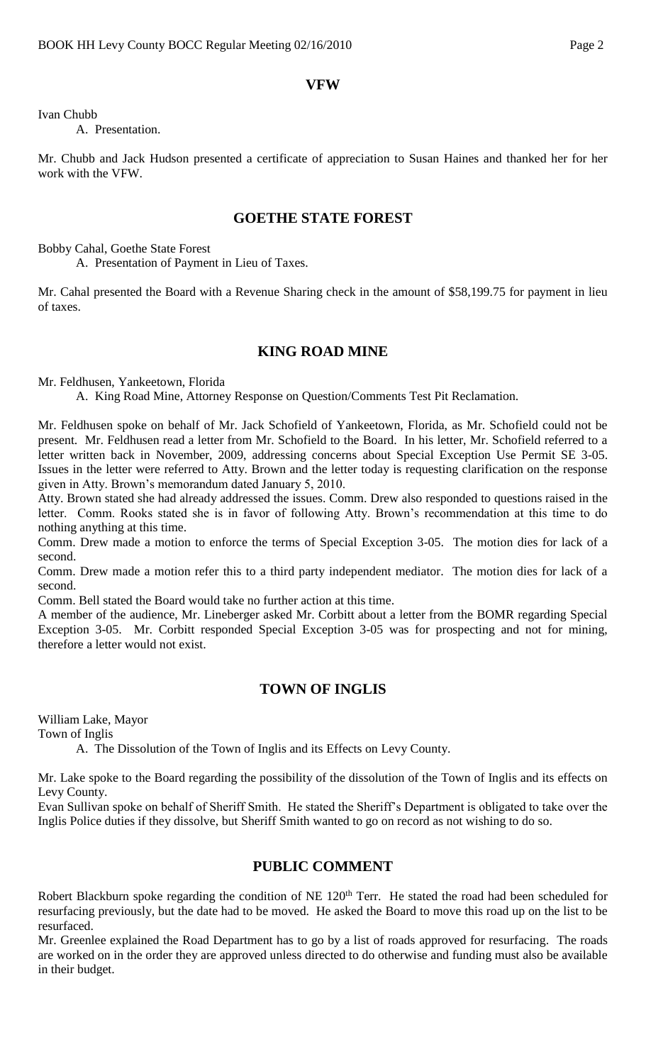## **VFW**

Ivan Chubb

A. Presentation.

Mr. Chubb and Jack Hudson presented a certificate of appreciation to Susan Haines and thanked her for her work with the VFW.

### **GOETHE STATE FOREST**

Bobby Cahal, Goethe State Forest

A. Presentation of Payment in Lieu of Taxes.

Mr. Cahal presented the Board with a Revenue Sharing check in the amount of \$58,199.75 for payment in lieu of taxes.

### **KING ROAD MINE**

Mr. Feldhusen, Yankeetown, Florida

A. King Road Mine, Attorney Response on Question/Comments Test Pit Reclamation.

Mr. Feldhusen spoke on behalf of Mr. Jack Schofield of Yankeetown, Florida, as Mr. Schofield could not be present. Mr. Feldhusen read a letter from Mr. Schofield to the Board. In his letter, Mr. Schofield referred to a letter written back in November, 2009, addressing concerns about Special Exception Use Permit SE 3-05. Issues in the letter were referred to Atty. Brown and the letter today is requesting clarification on the response given in Atty. Brown's memorandum dated January 5, 2010.

Atty. Brown stated she had already addressed the issues. Comm. Drew also responded to questions raised in the letter. Comm. Rooks stated she is in favor of following Atty. Brown's recommendation at this time to do nothing anything at this time.

Comm. Drew made a motion to enforce the terms of Special Exception 3-05. The motion dies for lack of a second.

Comm. Drew made a motion refer this to a third party independent mediator. The motion dies for lack of a second.

Comm. Bell stated the Board would take no further action at this time.

A member of the audience, Mr. Lineberger asked Mr. Corbitt about a letter from the BOMR regarding Special Exception 3-05. Mr. Corbitt responded Special Exception 3-05 was for prospecting and not for mining, therefore a letter would not exist.

### **TOWN OF INGLIS**

William Lake, Mayor

Town of Inglis

A. The Dissolution of the Town of Inglis and its Effects on Levy County.

Mr. Lake spoke to the Board regarding the possibility of the dissolution of the Town of Inglis and its effects on Levy County.

Evan Sullivan spoke on behalf of Sheriff Smith. He stated the Sheriff's Department is obligated to take over the Inglis Police duties if they dissolve, but Sheriff Smith wanted to go on record as not wishing to do so.

## **PUBLIC COMMENT**

Robert Blackburn spoke regarding the condition of NE 120<sup>th</sup> Terr. He stated the road had been scheduled for resurfacing previously, but the date had to be moved. He asked the Board to move this road up on the list to be resurfaced.

Mr. Greenlee explained the Road Department has to go by a list of roads approved for resurfacing. The roads are worked on in the order they are approved unless directed to do otherwise and funding must also be available in their budget.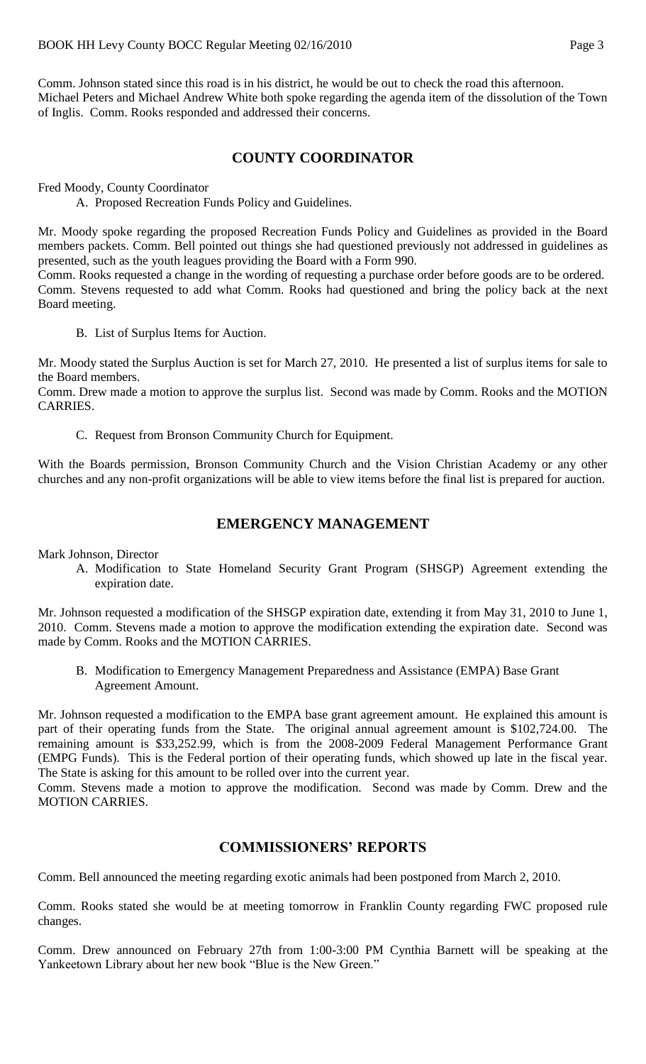Comm. Johnson stated since this road is in his district, he would be out to check the road this afternoon. Michael Peters and Michael Andrew White both spoke regarding the agenda item of the dissolution of the Town of Inglis. Comm. Rooks responded and addressed their concerns.

## **COUNTY COORDINATOR**

Fred Moody, County Coordinator

A. Proposed Recreation Funds Policy and Guidelines.

Mr. Moody spoke regarding the proposed Recreation Funds Policy and Guidelines as provided in the Board members packets. Comm. Bell pointed out things she had questioned previously not addressed in guidelines as presented, such as the youth leagues providing the Board with a Form 990.

Comm. Rooks requested a change in the wording of requesting a purchase order before goods are to be ordered. Comm. Stevens requested to add what Comm. Rooks had questioned and bring the policy back at the next Board meeting.

B. List of Surplus Items for Auction.

Mr. Moody stated the Surplus Auction is set for March 27, 2010. He presented a list of surplus items for sale to the Board members.

Comm. Drew made a motion to approve the surplus list. Second was made by Comm. Rooks and the MOTION CARRIES.

C. Request from Bronson Community Church for Equipment.

With the Boards permission, Bronson Community Church and the Vision Christian Academy or any other churches and any non-profit organizations will be able to view items before the final list is prepared for auction.

### **EMERGENCY MANAGEMENT**

Mark Johnson, Director

A. Modification to State Homeland Security Grant Program (SHSGP) Agreement extending the expiration date.

Mr. Johnson requested a modification of the SHSGP expiration date, extending it from May 31, 2010 to June 1, 2010. Comm. Stevens made a motion to approve the modification extending the expiration date. Second was made by Comm. Rooks and the MOTION CARRIES.

B. Modification to Emergency Management Preparedness and Assistance (EMPA) Base Grant Agreement Amount.

Mr. Johnson requested a modification to the EMPA base grant agreement amount. He explained this amount is part of their operating funds from the State. The original annual agreement amount is \$102,724.00. The remaining amount is \$33,252.99, which is from the 2008-2009 Federal Management Performance Grant (EMPG Funds). This is the Federal portion of their operating funds, which showed up late in the fiscal year. The State is asking for this amount to be rolled over into the current year.

Comm. Stevens made a motion to approve the modification. Second was made by Comm. Drew and the MOTION CARRIES.

### **COMMISSIONERS' REPORTS**

Comm. Bell announced the meeting regarding exotic animals had been postponed from March 2, 2010.

Comm. Rooks stated she would be at meeting tomorrow in Franklin County regarding FWC proposed rule changes.

Comm. Drew announced on February 27th from 1:00-3:00 PM Cynthia Barnett will be speaking at the Yankeetown Library about her new book "Blue is the New Green."